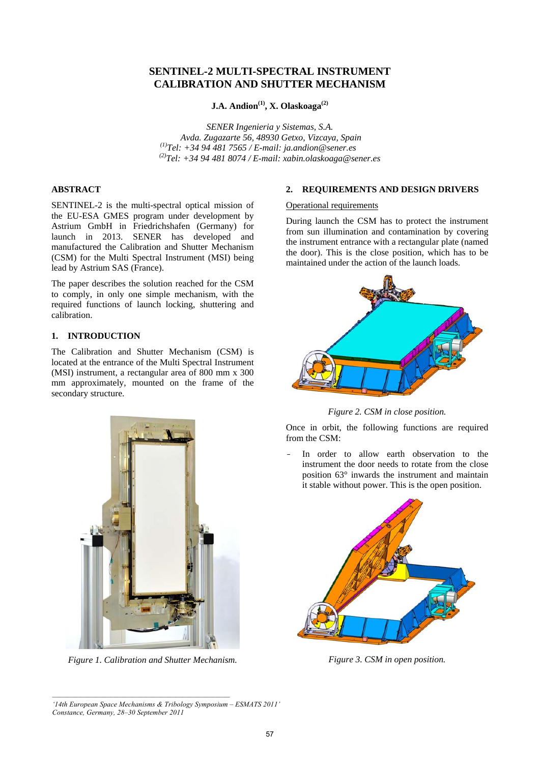# **SENTINEL-2 MULTI-SPECTRAL INSTRUMENT CALIBRATION AND SHUTTER MECHANISM**

# **J.A. Andion(1), X. Olaskoaga(2)**

*SENER Ingenieria y Sistemas, S.A. Avda. Zugazarte 56, 48930 Getxo, Vizcaya, Spain (1)Tel: +34 94 481 7565 / E-mail: ja.andion@sener.es (2)Tel: +34 94 481 8074 / E-mail: xabin.olaskoaga@sener.es* 

# **ABSTRACT**

SENTINEL-2 is the multi-spectral optical mission of the EU-ESA GMES program under development by Astrium GmbH in Friedrichshafen (Germany) for launch in 2013. SENER has developed and manufactured the Calibration and Shutter Mechanism (CSM) for the Multi Spectral Instrument (MSI) being lead by Astrium SAS (France).

The paper describes the solution reached for the CSM to comply, in only one simple mechanism, with the required functions of launch locking, shuttering and calibration.

# **1. INTRODUCTION**

The Calibration and Shutter Mechanism (CSM) is located at the entrance of the Multi Spectral Instrument (MSI) instrument, a rectangular area of 800 mm x 300 mm approximately, mounted on the frame of the secondary structure.



*Figure 1. Calibration and Shutter Mechanism.*

### **2. REQUIREMENTS AND DESIGN DRIVERS**

#### Operational requirements

During launch the CSM has to protect the instrument from sun illumination and contamination by covering the instrument entrance with a rectangular plate (named the door). This is the close position, which has to be maintained under the action of the launch loads.



*Figure 2. CSM in close position.*

Once in orbit, the following functions are required from the CSM:

In order to allow earth observation to the instrument the door needs to rotate from the close position 63° inwards the instrument and maintain it stable without power. This is the open position.



*Figure 3. CSM in open position.*

*<sup>&#</sup>x27;14th European Space Mechanisms & Tribology Symposium – ESMATS 2011' Constance, Germany, 28–30 September 2011*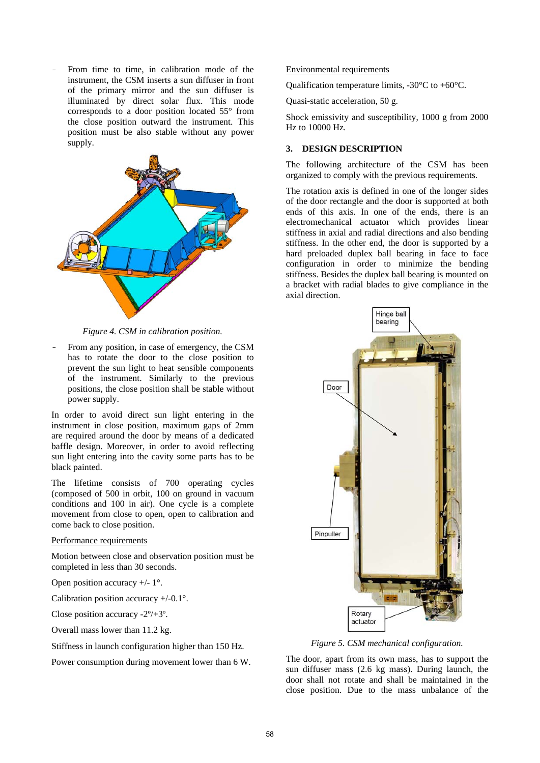From time to time, in calibration mode of the instrument, the CSM inserts a sun diffuser in front of the primary mirror and the sun diffuser is illuminated by direct solar flux. This mode corresponds to a door position located 55° from the close position outward the instrument. This position must be also stable without any power supply.



*Figure 4. CSM in calibration position.*

From any position, in case of emergency, the CSM has to rotate the door to the close position to prevent the sun light to heat sensible components of the instrument. Similarly to the previous positions, the close position shall be stable without power supply.

In order to avoid direct sun light entering in the instrument in close position, maximum gaps of 2mm are required around the door by means of a dedicated baffle design. Moreover, in order to avoid reflecting sun light entering into the cavity some parts has to be black painted.

The lifetime consists of 700 operating cycles (composed of 500 in orbit, 100 on ground in vacuum conditions and 100 in air). One cycle is a complete movement from close to open, open to calibration and come back to close position.

#### Performance requirements

Motion between close and observation position must be completed in less than 30 seconds.

Open position accuracy  $+/- 1$ °.

Calibration position accuracy +/-0.1°.

Close position accuracy -2º/+3º.

Overall mass lower than 11.2 kg.

Stiffness in launch configuration higher than 150 Hz.

Power consumption during movement lower than 6 W.

#### Environmental requirements

Qualification temperature limits, -30°C to +60°C.

Quasi-static acceleration, 50 g.

Shock emissivity and susceptibility, 1000 g from 2000 Hz to 10000 Hz.

#### **3. DESIGN DESCRIPTION**

The following architecture of the CSM has been organized to comply with the previous requirements.

The rotation axis is defined in one of the longer sides of the door rectangle and the door is supported at both ends of this axis. In one of the ends, there is an electromechanical actuator which provides linear stiffness in axial and radial directions and also bending stiffness. In the other end, the door is supported by a hard preloaded duplex ball bearing in face to face configuration in order to minimize the bending stiffness. Besides the duplex ball bearing is mounted on a bracket with radial blades to give compliance in the axial direction.



*Figure 5. CSM mechanical configuration.*

The door, apart from its own mass, has to support the sun diffuser mass (2.6 kg mass). During launch, the door shall not rotate and shall be maintained in the close position. Due to the mass unbalance of the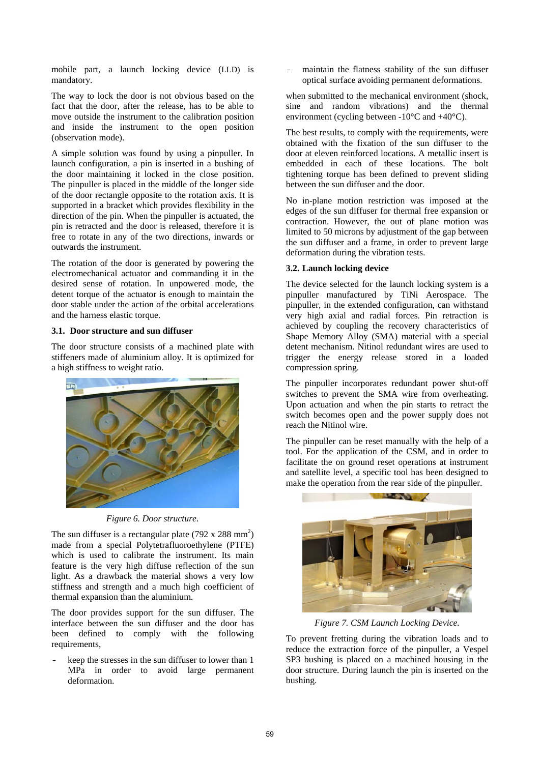mobile part, a launch locking device (LLD) is mandatory.

The way to lock the door is not obvious based on the fact that the door, after the release, has to be able to move outside the instrument to the calibration position and inside the instrument to the open position (observation mode).

A simple solution was found by using a pinpuller. In launch configuration, a pin is inserted in a bushing of the door maintaining it locked in the close position. The pinpuller is placed in the middle of the longer side of the door rectangle opposite to the rotation axis. It is supported in a bracket which provides flexibility in the direction of the pin. When the pinpuller is actuated, the pin is retracted and the door is released, therefore it is free to rotate in any of the two directions, inwards or outwards the instrument.

The rotation of the door is generated by powering the electromechanical actuator and commanding it in the desired sense of rotation. In unpowered mode, the detent torque of the actuator is enough to maintain the door stable under the action of the orbital accelerations and the harness elastic torque.

#### **3.1. Door structure and sun diffuser**

The door structure consists of a machined plate with stiffeners made of aluminium alloy. It is optimized for a high stiffness to weight ratio.





The sun diffuser is a rectangular plate  $(792 \times 288 \text{ mm}^2)$ made from a special Polytetrafluoroethylene (PTFE) which is used to calibrate the instrument. Its main feature is the very high diffuse reflection of the sun light. As a drawback the material shows a very low stiffness and strength and a much high coefficient of thermal expansion than the aluminium.

The door provides support for the sun diffuser. The interface between the sun diffuser and the door has been defined to comply with the following requirements,

keep the stresses in the sun diffuser to lower than 1 MPa in order to avoid large permanent deformation.

maintain the flatness stability of the sun diffuser optical surface avoiding permanent deformations.

when submitted to the mechanical environment (shock, sine and random vibrations) and the thermal environment (cycling between  $-10^{\circ}$ C and  $+40^{\circ}$ C).

The best results, to comply with the requirements, were obtained with the fixation of the sun diffuser to the door at eleven reinforced locations. A metallic insert is embedded in each of these locations. The bolt tightening torque has been defined to prevent sliding between the sun diffuser and the door.

No in-plane motion restriction was imposed at the edges of the sun diffuser for thermal free expansion or contraction. However, the out of plane motion was limited to 50 microns by adjustment of the gap between the sun diffuser and a frame, in order to prevent large deformation during the vibration tests.

### **3.2. Launch locking device**

The device selected for the launch locking system is a pinpuller manufactured by TiNi Aerospace. The pinpuller, in the extended configuration, can withstand very high axial and radial forces. Pin retraction is achieved by coupling the recovery characteristics of Shape Memory Alloy (SMA) material with a special detent mechanism. Nitinol redundant wires are used to trigger the energy release stored in a loaded compression spring.

The pinpuller incorporates redundant power shut-off switches to prevent the SMA wire from overheating. Upon actuation and when the pin starts to retract the switch becomes open and the power supply does not reach the Nitinol wire.

The pinpuller can be reset manually with the help of a tool. For the application of the CSM, and in order to facilitate the on ground reset operations at instrument and satellite level, a specific tool has been designed to make the operation from the rear side of the pinpuller.



*Figure 7. CSM Launch Locking Device.*

To prevent fretting during the vibration loads and to reduce the extraction force of the pinpuller, a Vespel SP3 bushing is placed on a machined housing in the door structure. During launch the pin is inserted on the bushing.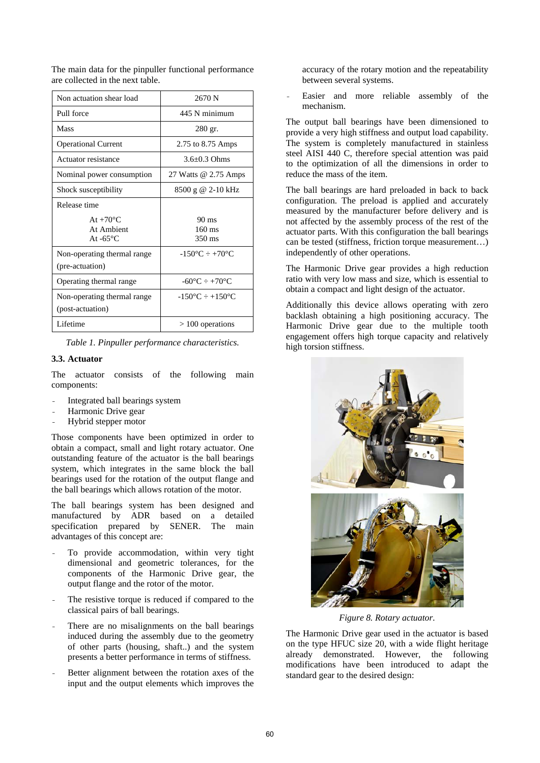| Non actuation shear load                                 | 2670 N                                    |
|----------------------------------------------------------|-------------------------------------------|
| Pull force                                               | 445 N minimum                             |
| <b>Mass</b>                                              | 280 gr.                                   |
| <b>Operational Current</b>                               | 2.75 to 8.75 Amps                         |
| Actuator resistance                                      | $3.6 + 0.3$ Ohms                          |
| Nominal power consumption                                | 27 Watts @ 2.75 Amps                      |
| Shock susceptibility                                     | 8500 g @ 2-10 kHz                         |
| Release time                                             |                                           |
| At $+70^{\circ}$ C.<br>At Ambient<br>At $-65^{\circ}$ C. | $90 \text{ ms}$<br>$160$ ms<br>350 ms     |
| Non-operating thermal range<br>(pre-actuation)           | $-150^{\circ}C \div +70^{\circ}C$         |
| Operating thermal range                                  | $-60^{\circ}$ C $- +70^{\circ}$ C         |
| Non-operating thermal range<br>(post-actuation)          | $-150^{\circ}$ C $\div$ +150 $^{\circ}$ C |
| Lifetime                                                 | $>100$ operations                         |

The main data for the pinpuller functional performance are collected in the next table.

*Table 1. Pinpuller performance characteristics.* 

# **3.3. Actuator**

The actuator consists of the following main components:

- Integrated ball bearings system
- Harmonic Drive gear
- Hybrid stepper motor

Those components have been optimized in order to obtain a compact, small and light rotary actuator. One outstanding feature of the actuator is the ball bearings system, which integrates in the same block the ball bearings used for the rotation of the output flange and the ball bearings which allows rotation of the motor.

The ball bearings system has been designed and manufactured by ADR based on a detailed specification prepared by SENER. The main advantages of this concept are:

- To provide accommodation, within very tight dimensional and geometric tolerances, for the components of the Harmonic Drive gear, the output flange and the rotor of the motor.
- The resistive torque is reduced if compared to the classical pairs of ball bearings.
- There are no misalignments on the ball bearings induced during the assembly due to the geometry of other parts (housing, shaft..) and the system presents a better performance in terms of stiffness.
- Better alignment between the rotation axes of the input and the output elements which improves the

accuracy of the rotary motion and the repeatability between several systems.

Easier and more reliable assembly of the mechanism.

The output ball bearings have been dimensioned to provide a very high stiffness and output load capability. The system is completely manufactured in stainless steel AISI 440 C, therefore special attention was paid to the optimization of all the dimensions in order to reduce the mass of the item.

The ball bearings are hard preloaded in back to back configuration. The preload is applied and accurately measured by the manufacturer before delivery and is not affected by the assembly process of the rest of the actuator parts. With this configuration the ball bearings can be tested (stiffness, friction torque measurement…) independently of other operations.

The Harmonic Drive gear provides a high reduction ratio with very low mass and size, which is essential to obtain a compact and light design of the actuator.

Additionally this device allows operating with zero backlash obtaining a high positioning accuracy. The Harmonic Drive gear due to the multiple tooth engagement offers high torque capacity and relatively high torsion stiffness.



*Figure 8. Rotary actuator.*

The Harmonic Drive gear used in the actuator is based on the type HFUC size 20, with a wide flight heritage already demonstrated. However, the following modifications have been introduced to adapt the standard gear to the desired design: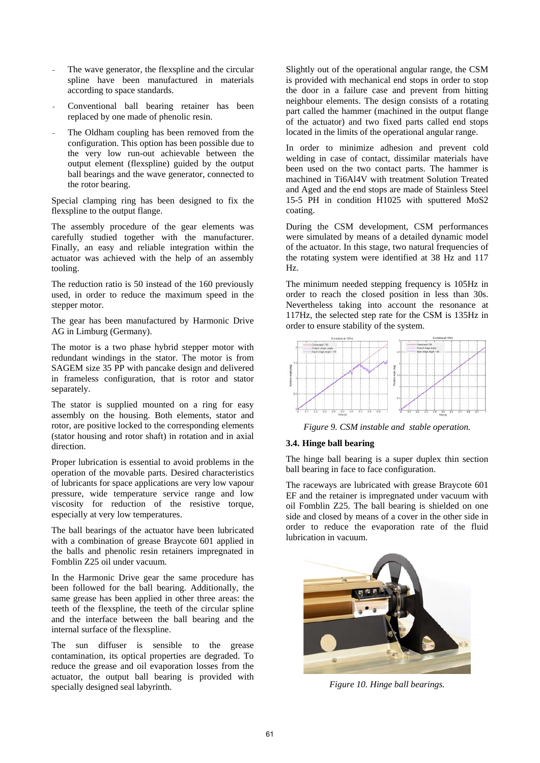- The wave generator, the flexspline and the circular spline have been manufactured in materials according to space standards.
- Conventional ball bearing retainer has been replaced by one made of phenolic resin.
- The Oldham coupling has been removed from the configuration. This option has been possible due to the very low run-out achievable between the output element (flexspline) guided by the output ball bearings and the wave generator, connected to the rotor bearing.

Special clamping ring has been designed to fix the flexspline to the output flange.

The assembly procedure of the gear elements was carefully studied together with the manufacturer. Finally, an easy and reliable integration within the actuator was achieved with the help of an assembly tooling.

The reduction ratio is 50 instead of the 160 previously used, in order to reduce the maximum speed in the stepper motor.

The gear has been manufactured by Harmonic Drive AG in Limburg (Germany).

The motor is a two phase hybrid stepper motor with redundant windings in the stator. The motor is from SAGEM size 35 PP with pancake design and delivered in frameless configuration, that is rotor and stator separately.

The stator is supplied mounted on a ring for easy assembly on the housing. Both elements, stator and rotor, are positive locked to the corresponding elements (stator housing and rotor shaft) in rotation and in axial direction.

Proper lubrication is essential to avoid problems in the operation of the movable parts. Desired characteristics of lubricants for space applications are very low vapour pressure, wide temperature service range and low viscosity for reduction of the resistive torque, especially at very low temperatures.

The ball bearings of the actuator have been lubricated with a combination of grease Braycote 601 applied in the balls and phenolic resin retainers impregnated in Fomblin Z25 oil under vacuum.

In the Harmonic Drive gear the same procedure has been followed for the ball bearing. Additionally, the same grease has been applied in other three areas: the teeth of the flexspline, the teeth of the circular spline and the interface between the ball bearing and the internal surface of the flexspline.

The sun diffuser is sensible to the grease contamination, its optical properties are degraded. To reduce the grease and oil evaporation losses from the actuator, the output ball bearing is provided with specially designed seal labyrinth.

Slightly out of the operational angular range, the CSM is provided with mechanical end stops in order to stop the door in a failure case and prevent from hitting neighbour elements. The design consists of a rotating part called the hammer (machined in the output flange of the actuator) and two fixed parts called end stops located in the limits of the operational angular range.

In order to minimize adhesion and prevent cold welding in case of contact, dissimilar materials have been used on the two contact parts. The hammer is machined in Ti6Al4V with treatment Solution Treated and Aged and the end stops are made of Stainless Steel 15-5 PH in condition H1025 with sputtered MoS2 coating.

During the CSM development, CSM performances were simulated by means of a detailed dynamic model of the actuator. In this stage, two natural frequencies of the rotating system were identified at 38 Hz and 117 Hz.

The minimum needed stepping frequency is 105Hz in order to reach the closed position in less than 30s. Nevertheless taking into account the resonance at 117Hz, the selected step rate for the CSM is 135Hz in order to ensure stability of the system.



*Figure 9. CSM instable and stable operation.*

# **3.4. Hinge ball bearing**

The hinge ball bearing is a super duplex thin section ball bearing in face to face configuration.

The raceways are lubricated with grease Braycote 601 EF and the retainer is impregnated under vacuum with oil Fomblin Z25. The ball bearing is shielded on one side and closed by means of a cover in the other side in order to reduce the evaporation rate of the fluid lubrication in vacuum.



*Figure 10. Hinge ball bearings.*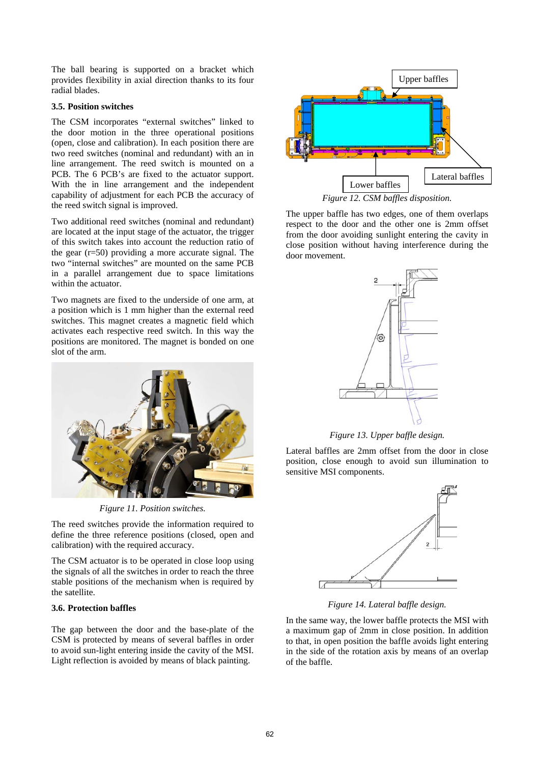The ball bearing is supported on a bracket which provides flexibility in axial direction thanks to its four radial blades.

### **3.5. Position switches**

The CSM incorporates "external switches" linked to the door motion in the three operational positions (open, close and calibration). In each position there are two reed switches (nominal and redundant) with an in line arrangement. The reed switch is mounted on a PCB. The 6 PCB's are fixed to the actuator support. With the in line arrangement and the independent capability of adjustment for each PCB the accuracy of the reed switch signal is improved.

Two additional reed switches (nominal and redundant) are located at the input stage of the actuator, the trigger of this switch takes into account the reduction ratio of the gear (r=50) providing a more accurate signal. The two "internal switches" are mounted on the same PCB in a parallel arrangement due to space limitations within the actuator.

Two magnets are fixed to the underside of one arm, at a position which is 1 mm higher than the external reed switches. This magnet creates a magnetic field which activates each respective reed switch. In this way the positions are monitored. The magnet is bonded on one slot of the arm.



*Figure 11. Position switches.* 

The reed switches provide the information required to define the three reference positions (closed, open and calibration) with the required accuracy.

The CSM actuator is to be operated in close loop using the signals of all the switches in order to reach the three stable positions of the mechanism when is required by the satellite.

# **3.6. Protection baffles**

The gap between the door and the base-plate of the CSM is protected by means of several baffles in order to avoid sun-light entering inside the cavity of the MSI. Light reflection is avoided by means of black painting.



The upper baffle has two edges, one of them overlaps respect to the door and the other one is 2mm offset from the door avoiding sunlight entering the cavity in close position without having interference during the door movement.



*Figure 13. Upper baffle design.* 

Lateral baffles are 2mm offset from the door in close position, close enough to avoid sun illumination to sensitive MSI components.



*Figure 14. Lateral baffle design.* 

In the same way, the lower baffle protects the MSI with a maximum gap of 2mm in close position. In addition to that, in open position the baffle avoids light entering in the side of the rotation axis by means of an overlap of the baffle.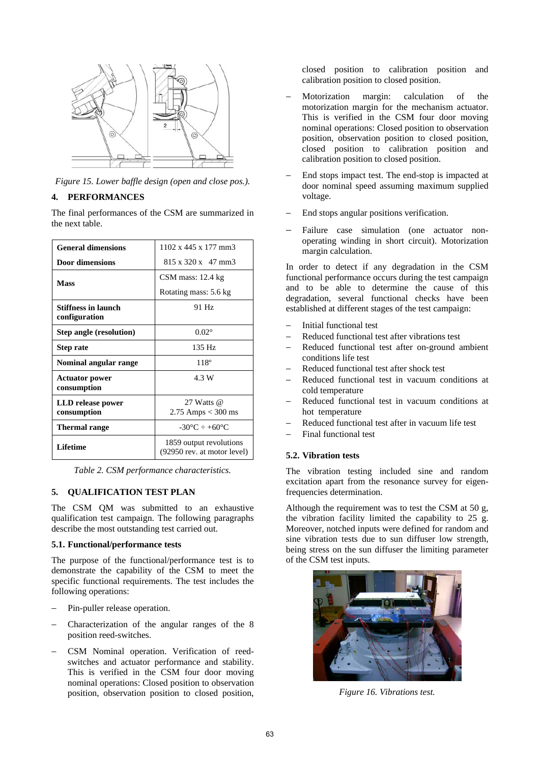

*Figure 15. Lower baffle design (open and close pos.).* 

# **4. PERFORMANCES**

The final performances of the CSM are summarized in the next table.

| <b>General dimensions</b>            | $1102 \times 445 \times 177$ mm3                       |
|--------------------------------------|--------------------------------------------------------|
| <b>Door dimensions</b>               | $815 \times 320 \times 47$ mm3                         |
| <b>Mass</b>                          | $CSM$ mass: 12.4 kg                                    |
|                                      | Rotating mass: 5.6 kg                                  |
| Stiffness in launch<br>configuration | 91 Hz                                                  |
| <b>Step angle (resolution)</b>       | $0.02^\circ$                                           |
| <b>Step rate</b>                     | $135$ Hz                                               |
| Nominal angular range                | $118^{\circ}$                                          |
| <b>Actuator power</b><br>consumption | 4.3 W                                                  |
| LLD release power<br>consumption     | 27 Watts @<br>2.75 Amps $<$ 300 ms                     |
| <b>Thermal range</b>                 | $-30^{\circ}$ C $\div$ +60 $^{\circ}$ C                |
| Lifetime                             | 1859 output revolutions<br>(92950 rev. at motor level) |

*Table 2. CSM performance characteristics.* 

# **5. QUALIFICATION TEST PLAN**

The CSM QM was submitted to an exhaustive qualification test campaign. The following paragraphs describe the most outstanding test carried out.

### **5.1. Functional/performance tests**

The purpose of the functional/performance test is to demonstrate the capability of the CSM to meet the specific functional requirements. The test includes the following operations:

- Pin-puller release operation.
- − Characterization of the angular ranges of the 8 position reed-switches.
- − CSM Nominal operation. Verification of reedswitches and actuator performance and stability. This is verified in the CSM four door moving nominal operations: Closed position to observation position, observation position to closed position,

closed position to calibration position and calibration position to closed position.

- − Motorization margin: calculation of the motorization margin for the mechanism actuator. This is verified in the CSM four door moving nominal operations: Closed position to observation position, observation position to closed position, closed position to calibration position and calibration position to closed position.
- End stops impact test. The end-stop is impacted at door nominal speed assuming maximum supplied voltage.
- End stops angular positions verification.
- Failure case simulation (one actuator nonoperating winding in short circuit). Motorization margin calculation.

In order to detect if any degradation in the CSM functional performance occurs during the test campaign and to be able to determine the cause of this degradation, several functional checks have been established at different stages of the test campaign:

- − Initial functional test
- − Reduced functional test after vibrations test
- Reduced functional test after on-ground ambient conditions life test
- Reduced functional test after shock test
- Reduced functional test in vacuum conditions at cold temperature
- Reduced functional test in vacuum conditions at hot temperature
- − Reduced functional test after in vacuum life test
- − Final functional test

### **5.2. Vibration tests**

The vibration testing included sine and random excitation apart from the resonance survey for eigenfrequencies determination.

Although the requirement was to test the CSM at 50 g, the vibration facility limited the capability to 25 g. Moreover, notched inputs were defined for random and sine vibration tests due to sun diffuser low strength, being stress on the sun diffuser the limiting parameter of the CSM test inputs.



*Figure 16. Vibrations test.*